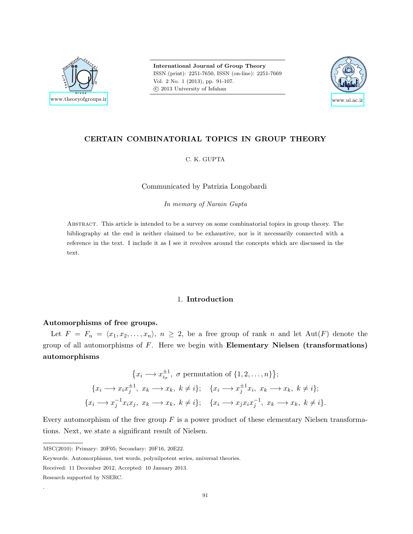

International Journal of Group Theory ISSN (print): 2251-7650, ISSN (on-line): 2251-7669 Vol. 2 No. 1 (2013), pp. 91-107. c 2013 University of Isfahan



# CERTAIN COMBINATORIAL TOPICS IN GROUP THEORY

C. K. GUPTA

Communicated by Patrizia Longobardi

In memory of Narain Gupta

Abstract. This article is intended to be a survey on some combinatorial topics in group theory. The bibliography at the end is neither claimed to be exhaustive, nor is it necessarily connected with a reference in the text. I include it as I see it revolves around the concepts which are discussed in the text.

### 1. Introduction

## Automorphisms of free groups.

Let  $F = F_n = \langle x_1, x_2, \ldots, x_n \rangle$ ,  $n \geq 2$ , be a free group of rank n and let Aut(F) denote the group of all automorphisms of  $F$ . Here we begin with **Elementary Nielsen** (transformations) automorphisms

$$
\{x_i \longrightarrow x_{i_\sigma}^{\pm 1}, \sigma \text{ permutation of } \{1, 2, \dots, n\}\};
$$
  

$$
\{x_i \longrightarrow x_i x_j^{\pm 1}, x_k \longrightarrow x_k, k \neq i\}; \quad \{x_i \longrightarrow x_j^{\pm 1} x_i, x_k \longrightarrow x_k, k \neq i\};
$$
  

$$
x_i \longrightarrow x_j^{-1} x_i x_j, x_k \longrightarrow x_k, k \neq i\}; \quad \{x_i \longrightarrow x_j x_i x_j^{-1}, x_k \longrightarrow x_k, k \neq i\}.
$$

Every automorphism of the free group  $F$  is a power product of these elementary Nielsen transformations. Next, we state a significant result of Nielsen.

Keywords: Automorphisms, test words, polynilpotent series, universal theories.

.

 $\{x \}$ 

MSC(2010): Primary: 20F05; Secondary: 20F16, 20E22.

Received: 11 December 2012, Accepted: 10 January 2013.

Research supported by NSERC.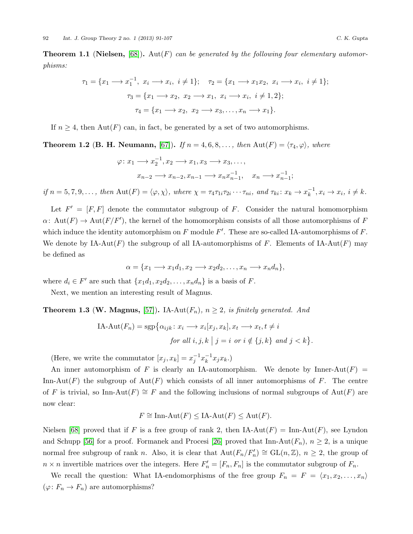**Theorem 1.1 (Nielsen,** [\[68\]](#page-15-0)). Aut(F) can be generated by the following four elementary automorphisms:

$$
\tau_1 = \{x_1 \longrightarrow x_1^{-1}, x_i \longrightarrow x_i, i \neq 1\}; \quad \tau_2 = \{x_1 \longrightarrow x_1x_2, x_i \longrightarrow x_i, i \neq 1\};
$$

$$
\tau_3 = \{x_1 \longrightarrow x_2, x_2 \longrightarrow x_1, x_i \longrightarrow x_i, i \neq 1, 2\};
$$

$$
\tau_4 = \{x_1 \longrightarrow x_2, x_2 \longrightarrow x_3, \dots, x_n \longrightarrow x_1\}.
$$

If  $n \geq 4$ , then Aut(F) can, in fact, be generated by a set of two automorphisms.

**Theorem 1.2 (B. H. Neumann, [\[67\]](#page-15-1)).** If  $n = 4, 6, 8, \ldots$ , then  $\text{Aut}(F) = \langle \tau_4, \varphi \rangle$ , where

$$
\varphi: x_1 \longrightarrow x_2^{-1}, x_2 \longrightarrow x_1, x_3 \longrightarrow x_3, \dots,
$$
  

$$
x_{n-2} \longrightarrow x_{n-2}, x_{n-1} \longrightarrow x_n x_{n-1}^{-1}, \quad x_n \longrightarrow x_{n-1}^{-1};
$$

if  $n = 5, 7, 9, \ldots$ , then  $\text{Aut}(F) = \langle \varphi, \chi \rangle$ , where  $\chi = \tau_4 \tau_{1i} \tau_{2i} \cdots \tau_{ni}$ , and  $\tau_{ki} : x_k \to x_k^{-1}$  $\overline{k}^1, x_i \rightarrow x_i, i \neq k.$ 

Let  $F' = [F, F]$  denote the commutator subgroup of F. Consider the natural homomorphism  $\alpha\colon \operatorname{Aut}(F) \to \operatorname{Aut}(F/F')$ , the kernel of the homomorphism consists of all those automorphisms of F which induce the identity automorphism on  $F$  module  $F'$ . These are so-called IA-automorphisms of  $F$ . We denote by  $IA-Aut(F)$  the subgroup of all IA-automorphisms of F. Elements of IA-Aut(F) may be defined as

$$
\alpha = \{x_1 \longrightarrow x_1d_1, x_2 \longrightarrow x_2d_2, \dots, x_n \longrightarrow x_nd_n\},\
$$

where  $d_i \in F'$  are such that  $\{x_1d_1, x_2d_2, \ldots, x_nd_n\}$  is a basis of F.

Next, we mention an interesting result of Magnus.

**Theorem 1.3 (W. Magnus,** [\[57\]](#page-15-2)). IA-Aut $(F_n)$ ,  $n \geq 2$ , is finitely generated. And

IA-Aut
$$
(F_n)
$$
 = sgp $\{\alpha_{ijk} : x_i \longrightarrow x_i[x_j, x_k], x_t \longrightarrow x_t, t \neq i$   
for all  $i, j, k | j = i$  or  $i \notin \{j, k\}$  and  $j < k\}.$ 

(Here, we write the commutator  $[x_j, x_k] = x_j^{-1} x_k^{-1}$  $k^{-1}x_jx_k.$ 

An inner automorphism of F is clearly an IA-automorphism. We denote by Inner-Aut $(F)$  = Inn-Aut(F) the subgroup of  $Aut(F)$  which consists of all inner automorphisms of F. The centre of F is trivial, so Inn-Aut $(F) \cong F$  and the following inclusions of normal subgroups of Aut $(F)$  are now clear:

$$
F \cong \text{Inn-Aut}(F) \le \text{IA-Aut}(F) \le \text{Aut}(F).
$$

Nielsen [\[68\]](#page-15-0) proved that if F is a free group of rank 2, then IA-Aut(F) = Inn-Aut(F), see Lyndon and Schupp [\[56\]](#page-15-3) for a proof. Formanek and Procesi [\[26\]](#page-13-0) proved that  $\text{Inn-Aut}(F_n)$ ,  $n \geq 2$ , is a unique normal free subgroup of rank n. Also, it is clear that  $Aut(F_n/F_n') \cong GL(n, \mathbb{Z})$ ,  $n \geq 2$ , the group of  $n \times n$  invertible matrices over the integers. Here  $F'_n = [F_n, F_n]$  is the commutator subgroup of  $F_n$ .

We recall the question: What IA-endomorphisms of the free group  $F_n = F = \langle x_1, x_2, \ldots, x_n \rangle$  $(\varphi: F_n \to F_n)$  are automorphisms?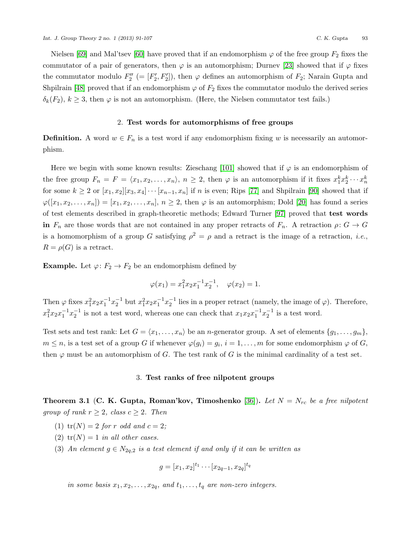Nielsen [\[69\]](#page-15-4) and Mal'tsev [\[60\]](#page-15-5) have proved that if an endomorphism  $\varphi$  of the free group  $F_2$  fixes the commutator of a pair of generators, then  $\varphi$  is an automorphism; Durney [\[23\]](#page-13-1) showed that if  $\varphi$  fixes the commutator modulo  $F_2'' = [F_2', F_2']$ , then  $\varphi$  defines an automorphism of  $F_2$ ; Narain Gupta and Shpilrain [\[48\]](#page-14-0) proved that if an endomorphism  $\varphi$  of  $F_2$  fixes the commutator modulo the derived series  $\delta_k(F_2)$ ,  $k \geq 3$ , then  $\varphi$  is not an automorphism. (Here, the Nielsen commutator test fails.)

### 2. Test words for automorphisms of free groups

**Definition.** A word  $w \in F_n$  is a test word if any endomorphism fixing w is necessarily an automorphism.

Here we begin with some known results: Zieschang [\[101\]](#page-16-0) showed that if  $\varphi$  is an endomorphism of the free group  $F_n = F = \langle x_1, x_2, \ldots, x_n \rangle, n \ge 2$ , then  $\varphi$  is an automorphism if it fixes  $x_1^k x_2^k \cdots x_n^k$ for some  $k \ge 2$  or  $[x_1, x_2][x_3, x_4] \cdots [x_{n-1}, x_n]$  if n is even; Rips [\[77\]](#page-15-6) and Shpilrain [\[90\]](#page-16-1) showed that if  $\varphi([x_1, x_2, \ldots, x_n]) = [x_1, x_2, \ldots, x_n], n \ge 2$ , then  $\varphi$  is an automorphism; Dold [\[20\]](#page-13-2) has found a series of test elements described in graph-theoretic methods; Edward Turner [\[97\]](#page-16-2) proved that test words in  $F_n$  are those words that are not contained in any proper retracts of  $F_n$ . A retraction  $\rho: G \to G$ is a homomorphism of a group G satisfying  $\rho^2 = \rho$  and a retract is the image of a retraction, *i.e.*,  $R = \rho(G)$  is a retract.

**Example.** Let  $\varphi: F_2 \to F_2$  be an endomorphism defined by

$$
\varphi(x_1) = x_1^2 x_2 x_1^{-1} x_2^{-1}, \quad \varphi(x_2) = 1.
$$

Then  $\varphi$  fixes  $x_1^2 x_2 x_1^{-1} x_2^{-1}$  but  $x_1^2 x_2 x_1^{-1} x_2^{-1}$  lies in a proper retract (namely, the image of  $\varphi$ ). Therefore,  $x_1^2 x_2 x_1^{-1} x_2^{-1}$  is not a test word, whereas one can check that  $x_1 x_2 x_1^{-1} x_2^{-1}$  is a test word.

Test sets and test rank: Let  $G = \langle x_1, \ldots, x_n \rangle$  be an *n*-generator group. A set of elements  $\{g_1, \ldots, g_m\}$ ,  $m \leq n$ , is a test set of a group G if whenever  $\varphi(g_i) = g_i$ ,  $i = 1, \ldots, m$  for some endomorphism  $\varphi$  of G, then  $\varphi$  must be an automorphism of G. The test rank of G is the minimal cardinality of a test set.

## 3. Test ranks of free nilpotent groups

**Theorem 3.1 (C. K. Gupta, Roman'kov, Timoshenko** [\[36\]](#page-14-1)). Let  $N = N_{rc}$  be a free nilpotent group of rank  $r \geq 2$ , class  $c \geq 2$ . Then

- (1)  $tr(N) = 2$  for r odd and  $c = 2$ ;
- (2)  $tr(N) = 1$  in all other cases.
- (3) An element  $g \in N_{2q,2}$  is a test element if and only if it can be written as

$$
g = [x_1, x_2]^{t_1} \cdots [x_{2q-1}, x_{2q}]^{t_q}
$$

in some basis  $x_1, x_2, \ldots, x_{2q}$ , and  $t_1, \ldots, t_q$  are non-zero integers.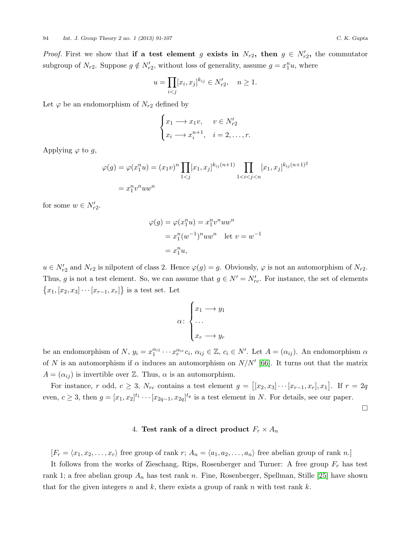*Proof.* First we show that if a test element g exists in  $N_{r2}$ , then  $g \in N'_{r2}$ , the commutator subgroup of  $N_{r2}$ . Suppose  $g \notin N'_{r2}$ , without loss of generality, assume  $g = x_1^n u$ , where

$$
u = \prod_{i < j} [x_i, x_j]^{k_{ij}} \in N'_{r2}, \quad n \ge 1.
$$

Let  $\varphi$  be an endomorphism of  $N_{r2}$  defined by

$$
\begin{cases} x_1 \longrightarrow x_1 v, & v \in N'_{r2} \\ x_i \longrightarrow x_i^{n+1}, & i = 2, \dots, r. \end{cases}
$$

Applying  $\varphi$  to g,

$$
\varphi(g) = \varphi(x_1^n u) = (x_1 v)^n \prod_{1 < j} [x_1, x_j]^{k_{ij}(n+1)} \prod_{1 < i < j < n} [x_1, x_j]^{k_{ij}(n+1)^2}
$$
\n
$$
= x_1^n v^n u w^n
$$

for some  $w \in N'_{r2}$ .

$$
\varphi(g) = \varphi(x_1^n u) = x_1^n v^n u w^n
$$
  
=  $x_1^n (w^{-1})^n u w^n$  let  $v = w^{-1}$   
=  $x_1^n u$ ,

 $u \in N'_{r2}$  and  $N_{r2}$  is nilpotent of class 2. Hence  $\varphi(g) = g$ . Obviously,  $\varphi$  is not an automorphism of  $N_{r2}$ . Thus, g is not a test element. So, we can assume that  $g \in N' = N'_{rc}$ . For instance, the set of elements  ${x_1, [x_2, x_3] \cdots [x_{r-1}, x_r]}$  is a test set. Let

$$
\alpha \colon \begin{cases} x_1 \longrightarrow y_1 \\ \dots \\ x_r \longrightarrow y_r \end{cases}
$$

be an endomorphism of N,  $y_i = x_1^{\alpha_{i1}} \cdots x_r^{\alpha_{ir}} c_i$ ,  $\alpha_{ij} \in \mathbb{Z}$ ,  $c_i \in N'$ . Let  $A = (\alpha_{ij})$ . An endomorphism  $\alpha$ of N is an automorphism if  $\alpha$  induces an automorphism on  $N/N'$  [\[66\]](#page-15-7). It turns out that the matrix  $A = (\alpha_{ij})$  is invertible over Z. Thus,  $\alpha$  is an automorphism.

For instance, r odd,  $c \geq 3$ ,  $N_{rc}$  contains a test element  $g = [[x_2, x_3] \cdots [x_{r-1}, x_r], x_1]$ . If  $r = 2q$ even,  $c \geq 3$ , then  $g = [x_1, x_2]^{t_1} \cdots [x_{2q-1}, x_{2q}]^{t_q}$  is a test element in N. For details, see our paper.

 $\Box$ 

## 4. Test rank of a direct product  $F_r \times A_n$

 $[F_r = \langle x_1, x_2, \ldots, x_r \rangle$  free group of rank r;  $A_n = \langle a_1, a_2, \ldots, a_n \rangle$  free abelian group of rank n.]

It follows from the works of Zieschang, Rips, Rosenberger and Turner: A free group  $F_r$  has test rank 1; a free abelian group  $A_n$  has test rank n. Fine, Rosenberger, Spellman, Stille [\[25\]](#page-13-3) have shown that for the given integers n and k, there exists a group of rank n with test rank k.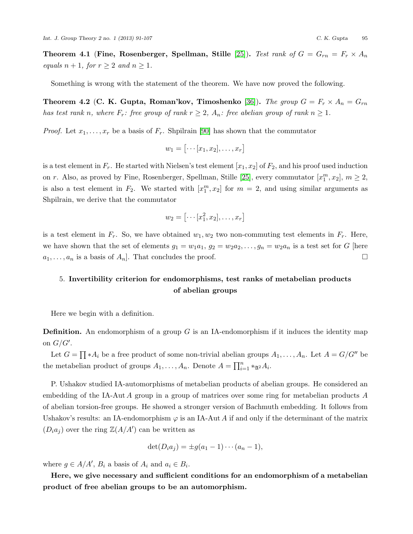**Theorem 4.1 (Fine, Rosenberger, Spellman, Stille** [\[25\]](#page-13-3)). Test rank of  $G = G_{rn} = F_r \times A_n$ equals  $n + 1$ , for  $r \geq 2$  and  $n \geq 1$ .

Something is wrong with the statement of the theorem. We have now proved the following.

Theorem 4.2 (C. K. Gupta, Roman'kov, Timoshenko [\[36\]](#page-14-1)). The group  $G = F_r \times A_n = G_{rn}$ has test rank n, where  $F_r$ : free group of rank  $r \geq 2$ ,  $A_n$ : free abelian group of rank  $n \geq 1$ .

*Proof.* Let  $x_1, \ldots, x_r$  be a basis of  $F_r$ . Shpilrain [\[90\]](#page-16-1) has shown that the commutator

$$
w_1 = [\cdots [x_1, x_2], \ldots, x_r]
$$

is a test element in  $F_r$ . He started with Nielsen's test element  $[x_1, x_2]$  of  $F_2$ , and his proof used induction on r. Also, as proved by Fine, Rosenberger, Spellman, Stille [\[25\]](#page-13-3), every commutator  $[x_1^m, x_2]$ ,  $m \ge 2$ , is also a test element in  $F_2$ . We started with  $[x_1^m, x_2]$  for  $m = 2$ , and using similar arguments as Shpilrain, we derive that the commutator

$$
w_2 = [\cdots [x_1^2, x_2], \ldots, x_r]
$$

is a test element in  $F_r$ . So, we have obtained  $w_1, w_2$  two non-commuting test elements in  $F_r$ . Here, we have shown that the set of elements  $g_1 = w_1 a_1, g_2 = w_2 a_2, \ldots, g_n = w_2 a_n$  is a test set for G [here  $a_1, \ldots, a_n$  is a basis of  $A_n$ . That concludes the proof.

# 5. Invertibility criterion for endomorphisms, test ranks of metabelian products of abelian groups

Here we begin with a definition.

**Definition.** An endomorphism of a group G is an IA-endomorphism if it induces the identity map on  $G/G'$ .

Let  $G = \prod_{i} * A_i$  be a free product of some non-trivial abelian groups  $A_1, \ldots, A_n$ . Let  $A = G/G''$  be the metabelian product of groups  $A_1, \ldots, A_n$ . Denote  $A = \prod_{i=1}^n *_{{\mathfrak A}^2} A_i$ .

P. Ushakov studied IA-automorphisms of metabelian products of abelian groups. He considered an embedding of the IA-Aut A group in a group of matrices over some ring for metabelian products A of abelian torsion-free groups. He showed a stronger version of Bachmuth embedding. It follows from Ushakov's results: an IA-endomorphism  $\varphi$  is an IA-Aut A if and only if the determinant of the matrix  $(D_i a_j)$  over the ring  $\mathbb{Z}(A/A')$  can be written as

$$
\det(D_i a_j) = \pm g(a_1 - 1) \cdots (a_n - 1),
$$

where  $g \in A/A'$ ,  $B_i$  a basis of  $A_i$  and  $a_i \in B_i$ .

Here, we give necessary and sufficient conditions for an endomorphism of a metabelian product of free abelian groups to be an automorphism.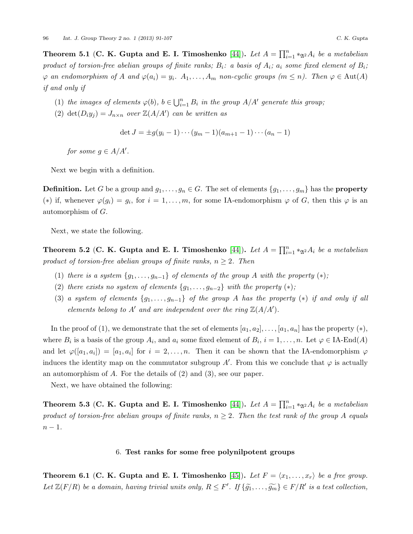Theorem 5.1 (C. K. Gupta and E. I. Timoshenko [\[44\]](#page-14-2)). Let  $A = \prod_{i=1}^{n} *_{\mathfrak{A}^2} A_i$  be a metabelian product of torsion-free abelian groups of finite ranks;  $B_i$ : a basis of  $A_i$ ;  $a_i$  some fixed element of  $B_i$ ;  $\varphi$  an endomorphism of A and  $\varphi(a_i) = y_i$ .  $A_1, \ldots, A_m$  non-cyclic groups  $(m \leq n)$ . Then  $\varphi \in \text{Aut}(A)$ if and only if

- (1) the images of elements  $\varphi(b)$ ,  $b \in \bigcup_{i=1}^n B_i$  in the group  $A/A'$  generate this group;
- (2) det $(D_i y_j) = J_{n \times n}$  over  $\mathbb{Z}(A/A')$  can be written as

$$
\det J = \pm g(y_i - 1) \cdots (y_m - 1)(a_{m+1} - 1) \cdots (a_n - 1)
$$

for some  $g \in A/A'$ .

Next we begin with a definition.

**Definition.** Let G be a group and  $g_1, \ldots, g_n \in G$ . The set of elements  $\{g_1, \ldots, g_m\}$  has the **property** (\*) if, whenever  $\varphi(g_i) = g_i$ , for  $i = 1, ..., m$ , for some IA-endomorphism  $\varphi$  of G, then this  $\varphi$  is an automorphism of G.

Next, we state the following.

Theorem 5.2 (C. K. Gupta and E. I. Timoshenko [\[44\]](#page-14-2)). Let  $A = \prod_{i=1}^{n} *_{\mathfrak{A}^2} A_i$  be a metabelian product of torsion-free abelian groups of finite ranks,  $n \geq 2$ . Then

- (1) there is a system  $\{g_1, \ldots, g_{n-1}\}$  of elements of the group A with the property  $(*)$ ;
- (2) there exists no system of elements  $\{g_1, \ldots, g_{n-2}\}\$  with the property  $(*)$ ;
- (3) a system of elements  $\{g_1, \ldots, g_{n-1}\}$  of the group A has the property  $(*)$  if and only if all elements belong to A' and are independent over the ring  $\mathbb{Z}(A/A')$ .

In the proof of (1), we demonstrate that the set of elements  $[a_1, a_2], \ldots, [a_1, a_n]$  has the property  $(*)$ , where  $B_i$  is a basis of the group  $A_i$ , and  $a_i$  some fixed element of  $B_i$ ,  $i = 1, ..., n$ . Let  $\varphi \in \text{IA-End}(A)$ and let  $\varphi([a_1, a_i]) = [a_1, a_i]$  for  $i = 2, \ldots, n$ . Then it can be shown that the IA-endomorphism  $\varphi$ induces the identity map on the commutator subgroup A'. From this we conclude that  $\varphi$  is actually an automorphism of A. For the details of (2) and (3), see our paper.

Next, we have obtained the following:

Theorem 5.3 (C. K. Gupta and E. I. Timoshenko [\[44\]](#page-14-2)). Let  $A = \prod_{i=1}^{n} *_{\mathfrak{A}^2} A_i$  be a metabelian product of torsion-free abelian groups of finite ranks,  $n \geq 2$ . Then the test rank of the group A equals  $n-1$ .

# 6. Test ranks for some free polynilpotent groups

**Theorem 6.1 (C. K. Gupta and E. I. Timoshenko** [\[45\]](#page-14-3)). Let  $F = \langle x_1, \ldots, x_r \rangle$  be a free group. Let  $\mathbb{Z}(F/R)$  be a domain, having trivial units only,  $R \leq F'$ . If  $\{\tilde{g_1}, \ldots, \tilde{g_m}\} \in F/R'$  is a test collection,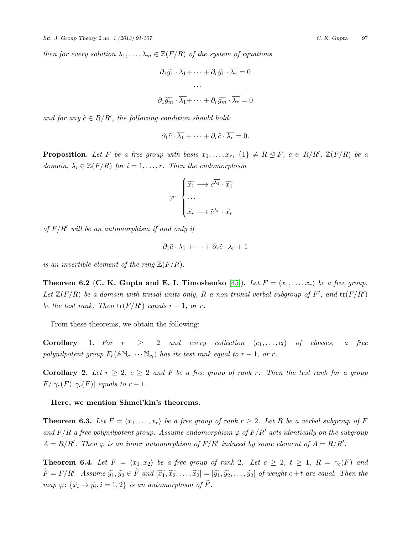then for every solution  $\overline{\lambda_1}, \ldots, \overline{\lambda_m} \in \mathbb{Z}(F/R)$  of the system of equations

$$
\partial_1 \widetilde{g_1} \cdot \overline{\lambda_1} + \dots + \partial_r \widetilde{g_1} \cdot \overline{\lambda_r} = 0
$$

$$
\dots
$$

$$
\partial_1 \widetilde{g_m} \cdot \overline{\lambda_1} + \dots + \partial_r \widetilde{g_m} \cdot \overline{\lambda_r} = 0
$$

and for any  $\tilde{c} \in R/R'$ , the following condition should hold:

$$
\partial_1 \tilde{c} \cdot \overline{\lambda_1} + \cdots + \partial_r \tilde{c} \cdot \overline{\lambda_r} = 0.
$$

**Proposition.** Let F be a free group with basis  $x_1, \ldots, x_r$ ,  $\{1\} \neq R \subseteq F$ ,  $\tilde{c} \in R/R'$ ,  $\mathbb{Z}(F/R)$  be a domain,  $\overline{\lambda_i} \in \mathbb{Z}(F/R)$  for  $i = 1, \ldots, r$ . Then the endomorphism

$$
\varphi \colon \begin{cases} \widetilde{x_1} \longrightarrow \widetilde{c}^{\overline{\lambda_1}} \cdot \widetilde{x_1} \\ \cdots \\ \widetilde{x_r} \longrightarrow \widetilde{c}^{\overline{\lambda_r}} \cdot \widetilde{x_r} \end{cases}
$$

of  $F/R'$  will be an automorphism if and only if

$$
\partial_1 \tilde{c} \cdot \overline{\lambda_1} + \cdots + \partial_r \tilde{c} \cdot \overline{\lambda_r} + 1
$$

is an invertible element of the ring  $\mathbb{Z}(F/R)$ .

**Theorem 6.2 (C. K. Gupta and E. I. Timoshenko** [\[45\]](#page-14-3)). Let  $F = \langle x_1, \ldots, x_r \rangle$  be a free group. Let  $\mathbb{Z}(F/R)$  be a domain with trivial units only, R a non-trivial verbal subgroup of F', and  $tr(F/R')$ be the test rank. Then  $tr(F/R')$  equals  $r-1$ , or r.

From these theorems, we obtain the following:

**Corollary 1.** For  $r \geq 2$  and every collection  $(c_1, \ldots, c_l)$  of classes, a free polynilpotent group  $F_r(\mathbb{AN}_{c_1}\cdots\mathbb{N}_{c_l})$  has its test rank equal to  $r-1$ , or  $r$ .

Corollary 2. Let  $r \geq 2$ ,  $c \geq 2$  and F be a free group of rank r. Then the test rank for a group  $F/[\gamma_c(F), \gamma_c(F)]$  equals to  $r-1$ .

#### Here, we mention Shmel'kin's theorems.

**Theorem 6.3.** Let  $F = \langle x_1, \ldots, x_r \rangle$  be a free group of rank  $r \geq 2$ . Let R be a verbal subgroup of F and  $F/R$  a free polynilpotent group. Assume endomorphism  $\varphi$  of  $F/R'$  acts identically on the subgroup  $A = R/R'$ . Then  $\varphi$  is an inner automorphism of  $F/R'$  induced by some element of  $A = R/R'$ .

**Theorem 6.4.** Let  $F = \langle x_1, x_2 \rangle$  be a free group of rank 2. Let  $c \geq 2$ ,  $t \geq 1$ ,  $R = \gamma_c(F)$  and  $\widetilde{F} = F/R'$ . Assume  $\widetilde{y_1}, \widetilde{y_2} \in \widetilde{F}$  and  $[\widetilde{x_1}, \widetilde{x_2}, \ldots, \widetilde{x_2}] = [\widetilde{y_1}, \widetilde{y_2}, \ldots, \widetilde{y_2}]$  of weight  $c+t$  are equal. Then the map  $\varphi: \{\widetilde{x}_i \to \widetilde{y}_i, i = 1, 2\}$  is an automorphism of F.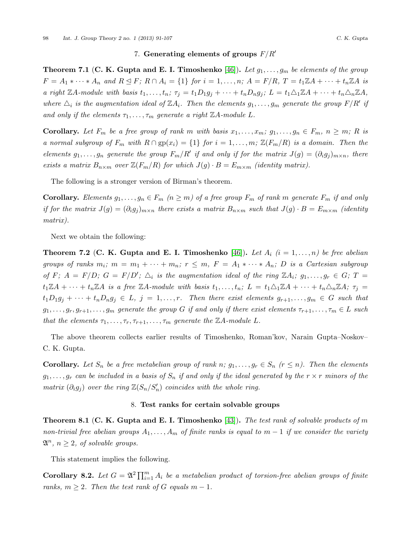**Theorem 7.1 (C. K. Gupta and E. I. Timoshenko** [\[46\]](#page-14-4)). Let  $g_1, \ldots, g_m$  be elements of the group  $F = A_1 * \cdots * A_n$  and  $R \trianglelefteq F$ ;  $R \cap A_i = \{1\}$  for  $i = 1, \ldots, n$ ;  $A = F/R$ ,  $T = t_1 \mathbb{Z}A + \cdots + t_n \mathbb{Z}A$  is a right  $\mathbb{Z}A$ -module with basis  $t_1, \ldots, t_n$ ;  $\tau_j = t_1D_1g_j + \cdots + t_nD_ng_j$ ;  $L = t_1\triangle_1\mathbb{Z}A + \cdots + t_n\triangle_n\mathbb{Z}A$ , where  $\Delta_i$  is the augmentation ideal of  $\mathbb{Z}A_i$ . Then the elements  $g_1, \ldots, g_m$  generate the group  $F/R'$  if and only if the elements  $\tau_1, \ldots, \tau_m$  generate a right  $\mathbb{Z}A$ -module L.

**Corollary.** Let  $F_m$  be a free group of rank m with basis  $x_1, \ldots, x_m$ ;  $g_1, \ldots, g_n \in F_m$ ,  $n \geq m$ ; R is a normal subgroup of  $F_m$  with  $R \cap gp(x_i) = \{1\}$  for  $i = 1, \ldots, m$ ;  $\mathbb{Z}(F_m/R)$  is a domain. Then the elements  $g_1, \ldots, g_n$  generate the group  $F_m/R'$  if and only if for the matrix  $J(g) = (\partial_i g_j)_{m \times n}$ , there exists a matrix  $B_{n\times m}$  over  $\mathbb{Z}(F_m/R)$  for which  $J(g) \cdot B = E_{m\times m}$  (identity matrix).

The following is a stronger version of Birman's theorem.

**Corollary.** Elements  $g_1, \ldots, g_n \in F_m$  ( $n \geq m$ ) of a free group  $F_m$  of rank m generate  $F_m$  if and only if for the matrix  $J(g) = (\partial_i g_i)_{m \times n}$  there exists a matrix  $B_{n \times m}$  such that  $J(g) \cdot B = E_{m \times m}$  (identity matrix).

Next we obtain the following:

**Theorem 7.2 (C. K. Gupta and E. I. Timoshenko** [\[46\]](#page-14-4)). Let  $A_i$  ( $i = 1, \ldots, n$ ) be free abelian groups of ranks  $m_i$ ;  $m = m_1 + \cdots + m_n$ ;  $r \leq m$ ,  $F = A_1 * \cdots * A_n$ ; D is a Cartesian subgroup of F;  $A = F/D$ ;  $G = F/D'$ ;  $\Delta_i$  is the augmentation ideal of the ring  $\mathbb{Z}A_i$ ;  $g_1, \ldots, g_r \in G$ ;  $T =$  $t_1\mathbb{Z}A+\cdots+t_n\mathbb{Z}A$  is a free  $\mathbb{Z}A$ -module with basis  $t_1,\ldots,t_n$ ;  $L=t_1\triangle_1\mathbb{Z}A+\cdots+t_n\triangle_n\mathbb{Z}A$ ;  $\tau_j=$  $t_1D_1g_j + \cdots + t_nD_ng_j \in L, j = 1,\ldots,r.$  Then there exist elements  $g_{r+1},\ldots,g_m \in G$  such that  $g_1, \ldots, g_r, g_{r+1}, \ldots, g_m$  generate the group G if and only if there exist elements  $\tau_{r+1}, \ldots, \tau_m \in L$  such that the elements  $\tau_1, \ldots, \tau_r, \tau_{r+1}, \ldots, \tau_m$  generate the ZA-module L.

The above theorem collects earlier results of Timoshenko, Roman'kov, Narain Gupta–Noskov– C. K. Gupta.

**Corollary.** Let  $S_n$  be a free metabelian group of rank n;  $g_1, \ldots, g_r \in S_n$  ( $r \leq n$ ). Then the elements  $g_1, \ldots, g_r$  can be included in a basis of  $S_n$  if and only if the ideal generated by the  $r \times r$  minors of the matrix  $(\partial_i g_j)$  over the ring  $\mathbb{Z}(S_n/S'_n)$  coincides with the whole ring.

#### 8. Test ranks for certain solvable groups

**Theorem 8.1 (C. K. Gupta and E. I. Timoshenko** [\[43\]](#page-14-5)). The test rank of solvable products of m non-trivial free abelian groups  $A_1, \ldots, A_m$  of finite ranks is equal to  $m-1$  if we consider the variety  $\mathfrak{A}^n$ ,  $n \geq 2$ , of solvable groups.

This statement implies the following.

**Corollary 8.2.** Let  $G = \mathfrak{A}^2 \prod_{i=1}^m A_i$  be a metabelian product of torsion-free abelian groups of finite ranks,  $m \geq 2$ . Then the test rank of G equals  $m - 1$ .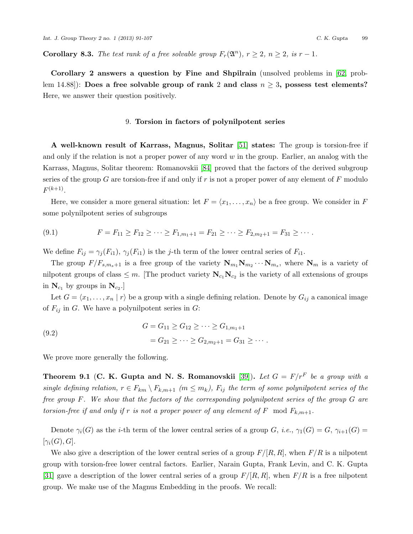**Corollary 8.3.** The test rank of a free solvable group  $F_r(\mathfrak{A}^n)$ ,  $r \geq 2$ ,  $n \geq 2$ , is  $r-1$ .

Corollary 2 answers a question by Fine and Shpilrain (unsolved problems in [\[62,](#page-15-8) problem 14.88]): Does a free solvable group of rank 2 and class  $n \geq 3$ , possess test elements? Here, we answer their question positively.

### 9. Torsion in factors of polynilpotent series

A well-known result of Karrass, Magnus, Solitar [\[51\]](#page-14-6) states: The group is torsion-free if and only if the relation is not a proper power of any word  $w$  in the group. Earlier, an analog with the Karrass, Magnus, Solitar theorem: Romanovskii [\[84\]](#page-16-3) proved that the factors of the derived subgroup series of the group G are torsion-free if and only if r is not a proper power of any element of F modulo  $F^{(k+1)}$ .

Here, we consider a more general situation: let  $F = \langle x_1, \ldots, x_n \rangle$  be a free group. We consider in F some polynilpotent series of subgroups

$$
(9.1) \t\t\t F = F_{11} \geq F_{12} \geq \cdots \geq F_{1,m_1+1} = F_{21} \geq \cdots \geq F_{2,m_2+1} = F_{31} \geq \cdots.
$$

We define  $F_{ij} = \gamma_i(F_{i1}), \gamma_i(F_{i1})$  is the j-th term of the lower central series of  $F_{i1}$ .

The group  $F/F_{s,m_s+1}$  is a free group of the variety  $N_{m_1}N_{m_2}\cdots N_{m_s}$ , where  $N_m$  is a variety of nilpotent groups of class  $\leq m$ . [The product variety  $N_{c_1}N_{c_2}$  is the variety of all extensions of groups in  $N_{c_1}$  by groups in  $N_{c_2}$ .

Let  $G = \langle x_1, \ldots, x_n | r \rangle$  be a group with a single defining relation. Denote by  $G_{ij}$  a canonical image of  $F_{ij}$  in G. We have a polynilpotent series in G:

(9.2)  

$$
G = G_{11} \ge G_{12} \ge \cdots \ge G_{1,m_1+1}
$$

$$
= G_{21} \ge \cdots \ge G_{2,m_2+1} = G_{31} \ge \cdots.
$$

We prove more generally the following.

Theorem 9.1 (C. K. Gupta and N. S. Romanovskii [\[39\]](#page-14-7)). Let  $G = F/r^F$  be a group with a single defining relation,  $r \in F_{km} \setminus F_{k,m+1}$  ( $m \leq m_k$ ),  $F_{ij}$  the term of some polynilpotent series of the free group F. We show that the factors of the corresponding polynilpotent series of the group G are torsion-free if and only if r is not a proper power of any element of F mod  $F_{k,m+1}$ .

Denote  $\gamma_i(G)$  as the *i*-th term of the lower central series of a group G, *i.e.*,  $\gamma_1(G) = G$ ,  $\gamma_{i+1}(G) =$  $[\gamma_i(G),G].$ 

We also give a description of the lower central series of a group  $F/[R, R]$ , when  $F/R$  is a nilpotent group with torsion-free lower central factors. Earlier, Narain Gupta, Frank Levin, and C. K. Gupta [\[31\]](#page-14-8) gave a description of the lower central series of a group  $F/[R, R]$ , when  $F/R$  is a free nilpotent group. We make use of the Magnus Embedding in the proofs. We recall: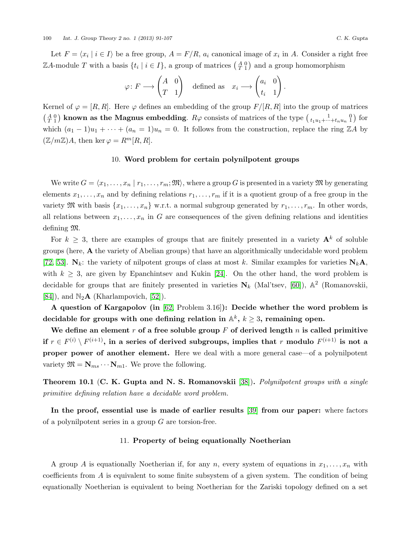Let  $F = \langle x_i \mid i \in I \rangle$  be a free group,  $A = F/R$ ,  $a_i$  canonical image of  $x_i$  in A. Consider a right free ZA-module T with a basis  $\{t_i \mid i \in I\}$ , a group of matrices  $\left(\begin{smallmatrix} A & 0 \\ T & 1 \end{smallmatrix}\right)$  and a group homomorphism

$$
\varphi \colon F \longrightarrow \begin{pmatrix} A & 0 \\ T & 1 \end{pmatrix} \quad \text{defined as} \quad x_i \longrightarrow \begin{pmatrix} a_i & 0 \\ t_i & 1 \end{pmatrix}.
$$

Kernel of  $\varphi = [R, R]$ . Here  $\varphi$  defines an embedding of the group  $F/[R, R]$  into the group of matrices  $\begin{pmatrix} A & 0 \\ T & 1 \end{pmatrix}$  known as the Magnus embedding.  $R\varphi$  consists of matrices of the type  $\begin{pmatrix} 1 & 0 \\ t_1u_1+\cdots+t_nu_n & 1 \end{pmatrix}$  for which  $(a_1 - 1)u_1 + \cdots + (a_n = 1)u_n = 0$ . It follows from the construction, replace the ring ZA by  $(\mathbb{Z}/m\mathbb{Z})A$ , then ker  $\varphi = R^m[R, R]$ .

### 10. Word problem for certain polynilpotent groups

We write  $G = \langle x_1, \ldots, x_n | r_1, \ldots, r_m; \mathfrak{M} \rangle$ , where a group G is presented in a variety M by generating elements  $x_1, \ldots, x_n$  and by defining relations  $r_1, \ldots, r_m$  if it is a quotient group of a free group in the variety  $\mathfrak{M}$  with basis  $\{x_1, \ldots, x_n\}$  w.r.t. a normal subgroup generated by  $r_1, \ldots, r_m$ . In other words, all relations between  $x_1, \ldots, x_n$  in G are consequences of the given defining relations and identities defining M.

For  $k \geq 3$ , there are examples of groups that are finitely presented in a variety  $A^k$  of soluble groups (here, A the variety of Abelian groups) that have an algorithmically undecidable word problem [\[72,](#page-15-9) [53\]](#page-15-10).  $N_k$ : the variety of nilpotent groups of class at most k. Similar examples for varieties  $N_kA$ , with  $k \geq 3$ , are given by Epanchintsev and Kukin [\[24\]](#page-13-4). On the other hand, the word problem is decidable for groups that are finitely presented in varieties  $N_k$  (Mal'tsev, [\[60\]](#page-15-5)),  $\mathbb{A}^2$  (Romanovskii, [\[84\]](#page-16-3)), and  $\mathbb{N}_2\mathbf{A}$  (Kharlampovich, [\[52\]](#page-14-9)).

A question of Kargapolov (in [\[62,](#page-15-8) Problem 3.16]): Decide whether the word problem is decidable for groups with one defining relation in  $\mathbb{A}^k, \, k \geq 3,$  remaining open.

We define an element  $r$  of a free soluble group  $F$  of derived length  $n$  is called primitive if  $r \in F^{(i)} \setminus F^{(i+1)}$ , in a series of derived subgroups, implies that  $r$  modulo  $F^{(i+1)}$  is not a proper power of another element. Here we deal with a more general case—of a polynilpotent variety  $\mathfrak{M} = \mathbf{N}_{ms} \cdots \mathbf{N}_{m1}$ . We prove the following.

Theorem 10.1 (C. K. Gupta and N. S. Romanovskii [\[38\]](#page-14-10)). Polynilpotent groups with a single primitive defining relation have a decidable word problem.

In the proof, essential use is made of earlier results [\[39\]](#page-14-7) from our paper: where factors of a polynilpotent series in a group  $G$  are torsion-free.

### 11. Property of being equationally Noetherian

A group A is equationally Noetherian if, for any n, every system of equations in  $x_1, \ldots, x_n$  with coefficients from  $A$  is equivalent to some finite subsystem of a given system. The condition of being equationally Noetherian is equivalent to being Noetherian for the Zariski topology defined on a set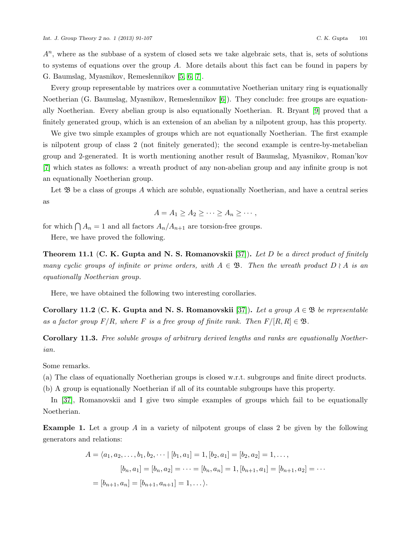$A<sup>n</sup>$ , where as the subbase of a system of closed sets we take algebraic sets, that is, sets of solutions to systems of equations over the group A. More details about this fact can be found in papers by G. Baumslag, Myasnikov, Remeslennikov [\[5,](#page-13-5) [6,](#page-13-6) [7\]](#page-13-7).

Every group representable by matrices over a commutative Noetherian unitary ring is equationally Noetherian (G. Baumslag, Myasnikov, Remeslennikov [\[6\]](#page-13-6)). They conclude: free groups are equationally Noetherian. Every abelian group is also equationally Noetherian. R. Bryant [\[9\]](#page-13-8) proved that a finitely generated group, which is an extension of an abelian by a nilpotent group, has this property.

We give two simple examples of groups which are not equationally Noetherian. The first example is nilpotent group of class 2 (not finitely generated); the second example is centre-by-metabelian group and 2-generated. It is worth mentioning another result of Baumslag, Myasnikov, Roman'kov [\[7\]](#page-13-7) which states as follows: a wreath product of any non-abelian group and any infinite group is not an equationally Noetherian group.

Let  $\mathfrak B$  be a class of groups A which are soluble, equationally Noetherian, and have a central series as

$$
A = A_1 \ge A_2 \ge \cdots \ge A_n \ge \cdots,
$$

for which  $\bigcap A_n = 1$  and all factors  $A_n / A_{n+1}$  are torsion-free groups.

Here, we have proved the following.

**Theorem 11.1 (C. K. Gupta and N. S. Romanovskii** [\[37\]](#page-14-11)). Let D be a direct product of finitely many cyclic groups of infinite or prime orders, with  $A \in \mathfrak{B}$ . Then the wreath product  $D \nmid A$  is an equationally Noetherian group.

Here, we have obtained the following two interesting corollaries.

Corollary 11.2 (C. K. Gupta and N. S. Romanovskii [\[37\]](#page-14-11)). Let a group  $A \in \mathfrak{B}$  be representable as a factor group  $F/R$ , where F is a free group of finite rank. Then  $F/[R, R] \in \mathfrak{B}$ .

Corollary 11.3. Free soluble groups of arbitrary derived lengths and ranks are equationally Noetherian.

Some remarks.

(a) The class of equationally Noetherian groups is closed w.r.t. subgroups and finite direct products.

(b) A group is equationally Noetherian if all of its countable subgroups have this property.

In [\[37\]](#page-14-11), Romanovskii and I give two simple examples of groups which fail to be equationally Noetherian.

**Example 1.** Let a group A in a variety of nilpotent groups of class 2 be given by the following generators and relations:

$$
A = \langle a_1, a_2, \dots, b_1, b_2, \dots \mid [b_1, a_1] = 1, [b_2, a_1] = [b_2, a_2] = 1, \dots,
$$
  

$$
[b_n, a_1] = [b_n, a_2] = \dots = [b_n, a_n] = 1, [b_{n+1}, a_1] = [b_{n+1}, a_2] = \dots
$$
  

$$
= [b_{n+1}, a_n] = [b_{n+1}, a_{n+1}] = 1, \dots
$$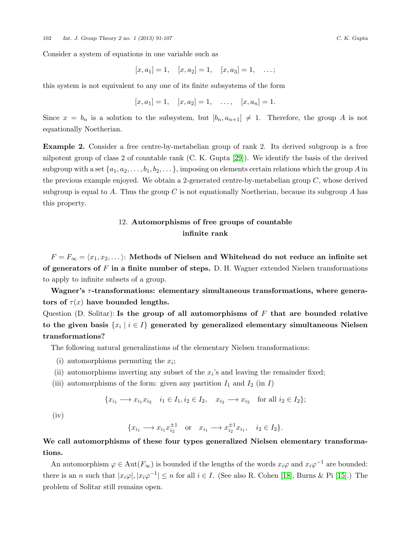Consider a system of equations in one variable such as

$$
[x, a_1] = 1, [x, a_2] = 1, [x, a_3] = 1, \dots;
$$

this system is not equivalent to any one of its finite subsystems of the form

$$
[x, a_1] = 1, [x, a_2] = 1, \ldots, [x, a_n] = 1.
$$

Since  $x = b_n$  is a solution to the subsystem, but  $[b_n, a_{n+1}] \neq 1$ . Therefore, the group A is not equationally Noetherian.

Example 2. Consider a free centre-by-metabelian group of rank 2. Its derived subgroup is a free nilpotent group of class 2 of countable rank (C. K. Gupta [\[29\]](#page-14-12)). We identify the basis of the derived subgroup with a set  $\{a_1, a_2, \ldots, b_1, b_2, \ldots\}$ , imposing on elements certain relations which the group A in the previous example enjoyed. We obtain a 2-generated centre-by-metabelian group  $C$ , whose derived subgroup is equal to A. Thus the group C is not equationally Noetherian, because its subgroup A has this property.

# 12. Automorphisms of free groups of countable infinite rank

 $F = F_{\infty} = \langle x_1, x_2, \dots \rangle$ : Methods of Nielsen and Whitehead do not reduce an infinite set of generators of  $F$  in a finite number of steps. D. H. Wagner extended Nielsen transformations to apply to infinite subsets of a group.

Wagner's  $\tau$ -transformations: elementary simultaneous transformations, where generators of  $\tau(x)$  have bounded lengths.

Question (D. Solitar): Is the group of all automorphisms of  $F$  that are bounded relative to the given basis  $\{x_i\mid i\in I\}$  generated by generalized elementary simultaneous Nielsen transformations?

The following natural generalizations of the elementary Nielsen transformations:

- (i) automorphisms permuting the  $x_i$ ;
- (ii) automorphisms inverting any subset of the  $x_i$ 's and leaving the remainder fixed;
- (iii) automorphisms of the form: given any partition  $I_1$  and  $I_2$  (in I)

$$
\{x_{i_1} \longrightarrow x_{i_1}x_{i_2} \quad i_1 \in I_1, i_2 \in I_2, \quad x_{i_2} \longrightarrow x_{i_2} \quad \text{for all } i_2 \in I_2\};
$$

 $(iv)$ 

$$
{x_{i_1} \longrightarrow x_{i_1} x_{i_2}^{\pm 1}}
$$
 or  $x_{i_1} \longrightarrow x_{i_2}^{\pm 1} x_{i_1}$ ,  $i_2 \in I_2$ .

# We call automorphisms of these four types generalized Nielsen elementary transformations.

An automorphism  $\varphi \in Aut(F_{\infty})$  is bounded if the lengths of the words  $x_i\varphi$  and  $x_i\varphi^{-1}$  are bounded: there is an n such that  $|x_i\varphi|, |x_i\varphi^{-1}| \leq n$  for all  $i \in I$ . (See also R. Cohen [\[18\]](#page-13-9), Burns & Pi [\[15\]](#page-13-10).) The problem of Solitar still remains open.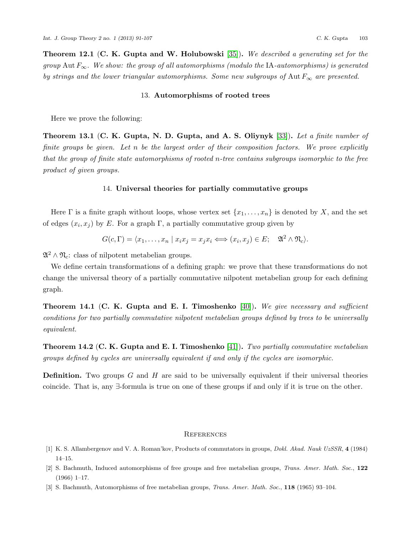**Theorem 12.1 (C. K. Gupta and W. Holubowski** [\[35\]](#page-14-13)). We described a generating set for the group Aut  $F_{\infty}$ . We show: the group of all automorphisms (modulo the IA-automorphisms) is generated by strings and the lower triangular automorphisms. Some new subgroups of Aut  $F_{\infty}$  are presented.

#### 13. Automorphisms of rooted trees

Here we prove the following:

**Theorem 13.1 (C. K. Gupta, N. D. Gupta, and A. S. Oliynyk** [\[33\]](#page-14-14)). Let a finite number of finite groups be given. Let n be the largest order of their composition factors. We prove explicitly that the group of finite state automorphisms of rooted n-tree contains subgroups isomorphic to the free product of given groups.

## 14. Universal theories for partially commutative groups

Here  $\Gamma$  is a finite graph without loops, whose vertex set  $\{x_1, \ldots, x_n\}$  is denoted by X, and the set of edges  $(x_i, x_j)$  by E. For a graph  $\Gamma$ , a partially commutative group given by

$$
G(c,\Gamma) = \langle x_1,\ldots,x_n \mid x_ix_j = x_jx_i \iff (x_i,x_j) \in E; \quad \mathfrak{A}^2 \wedge \mathfrak{N}_c \rangle.
$$

 $\mathfrak{A}^2 \wedge \mathfrak{N}_c$ : class of nilpotent metabelian groups.

We define certain transformations of a defining graph: we prove that these transformations do not change the universal theory of a partially commutative nilpotent metabelian group for each defining graph.

**Theorem 14.1 (C. K. Gupta and E. I. Timoshenko** [\[40\]](#page-14-15)). We give necessary and sufficient conditions for two partially commutative nilpotent metabelian groups defined by trees to be universally equivalent.

**Theorem 14.2 (C. K. Gupta and E. I. Timoshenko** [\[41\]](#page-14-16)). Two partially commutative metabelian groups defined by cycles are universally equivalent if and only if the cycles are isomorphic.

**Definition.** Two groups G and H are said to be universally equivalent if their universal theories coincide. That is, any ∃-formula is true on one of these groups if and only if it is true on the other.

#### **REFERENCES**

- [1] K. S. Allambergenov and V. A. Roman'kov, Products of commutators in groups, Dokl. Akad. Nauk UzSSR, 4 (1984) 14–15.
- [2] S. Bachmuth, Induced automorphisms of free groups and free metabelian groups, Trans. Amer. Math. Soc., 122 (1966) 1–17.
- [3] S. Bachmuth, Automorphisms of free metabelian groups, Trans. Amer. Math. Soc., 118 (1965) 93–104.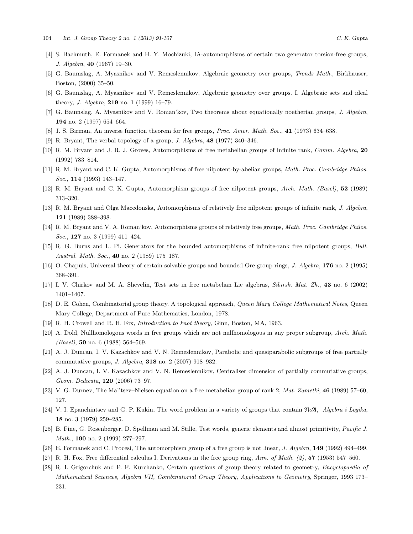- [4] S. Bachmuth, E. Formanek and H. Y. Mochizuki, IA-automorphisms of certain two generator torsion-free groups, J. Algebra, 40 (1967) 19–30.
- <span id="page-13-5"></span>[5] G. Baumslag, A. Myasnikov and V. Remeslennikov, Algebraic geometry over groups, Trends Math., Birkhauser, Boston, (2000) 35–50.
- <span id="page-13-6"></span>[6] G. Baumslag, A. Myasnikov and V. Remeslennikov, Algebraic geometry over groups. I. Algebraic sets and ideal theory, *J. Algebra*, **219** no. 1 (1999) 16-79.
- <span id="page-13-7"></span>[7] G. Baumslag, A. Myasnikov and V. Roman'kov, Two theorems about equationally noetherian groups, J. Algebra, 194 no. 2 (1997) 654–664.
- [8] J. S. Birman, An inverse function theorem for free groups, Proc. Amer. Math. Soc., 41 (1973) 634–638.
- <span id="page-13-8"></span>[9] R. Bryant, The verbal topology of a group, J. Algebra, 48 (1977) 340–346.
- [10] R. M. Bryant and J. R. J. Groves, Automorphisms of free metabelian groups of infinite rank, Comm. Algebra, 20 (1992) 783–814.
- [11] R. M. Bryant and C. K. Gupta, Automorphisms of free nilpotent-by-abelian groups, Math. Proc. Cambridge Philos. Soc., **114** (1993) 143-147.
- [12] R. M. Bryant and C. K. Gupta, Automorphism groups of free nilpotent groups, Arch. Math. (Basel), 52 (1989) 313–320.
- [13] R. M. Bryant and Olga Macedonska, Automorphisms of relatively free nilpotent groups of infinite rank, J. Algebra, 121 (1989) 388–398.
- [14] R. M. Bryant and V. A. Roman'kov, Automorphisms groups of relatively free groups, Math. Proc. Cambridge Philos. Soc., **127** no. 3 (1999) 411-424.
- <span id="page-13-10"></span>[15] R. G. Burns and L. Pi, Generators for the bounded automorphisms of infinite-rank free nilpotent groups, Bull. Austral. Math. Soc., 40 no. 2 (1989) 175–187.
- [16] O. Chapuis, Universal theory of certain solvable groups and bounded Ore group rings, J. Algebra, 176 no. 2 (1995) 368–391.
- [17] I. V. Chirkov and M. A. Shevelin, Test sets in free metabelian Lie algebras, Sibirsk. Mat. Zh., 43 no. 6 (2002) 1401–1407.
- <span id="page-13-9"></span>[18] D. E. Cohen, Combinatorial group theory. A topological approach, Queen Mary College Mathematical Notes, Queen Mary College, Department of Pure Mathematics, London, 1978.
- [19] R. H. Crowell and R. H. Fox, Introduction to knot theory, Ginn, Boston, MA, 1963.
- <span id="page-13-2"></span>[20] A. Dold, Nullhomologous words in free groups which are not nullhomologous in any proper subgroup, Arch. Math.  $(Basel)$ , 50 no. 6 (1988) 564–569.
- [21] A. J. Duncan, I. V. Kazachkov and V. N. Remeslennikov, Parabolic and quasiparabolic subgroups of free partially commutative groups, J. Algebra, 318 no. 2 (2007) 918–932.
- [22] A. J. Duncan, I. V. Kazachkov and V. N. Remeslennikov, Centraliser dimension of partially commutative groups, Geom. Dedicata, 120 (2006) 73–97.
- <span id="page-13-1"></span>[23] V. G. Durnev, The Mal'tsev–Nielsen equation on a free metabelian group of rank 2, Mat. Zametki, 46 (1989) 57–60, 127.
- <span id="page-13-4"></span>[24] V. I. Epanchintsev and G. P. Kukin, The word problem in a variety of groups that contain  $\mathfrak{N}_2\mathfrak{A}$ , Algebra i Logika, 18 no. 3 (1979) 259–285.
- <span id="page-13-3"></span>[25] B. Fine, G. Rosenberger, D. Spellman and M. Stille, Test words, generic elements and almost primitivity, Pacific J. Math., 190 no. 2 (1999) 277–297.
- <span id="page-13-0"></span>[26] E. Formanek and C. Procesi, The automorphism group of a free group is not linear, J. Algebra, 149 (1992) 494–499.
- [27] R. H. Fox, Free differential calculus I. Derivations in the free group ring, Ann. of Math.  $(2)$ ,  $57$  (1953) 547–560.
- [28] R. I. Grigorchuk and P. F. Kurchanko, Certain questions of group theory related to geometry, Encyclopaedia of Mathematical Sciences, Algebra VII, Combinatorial Group Theory, Applications to Geometry, Springer, 1993 173– 231.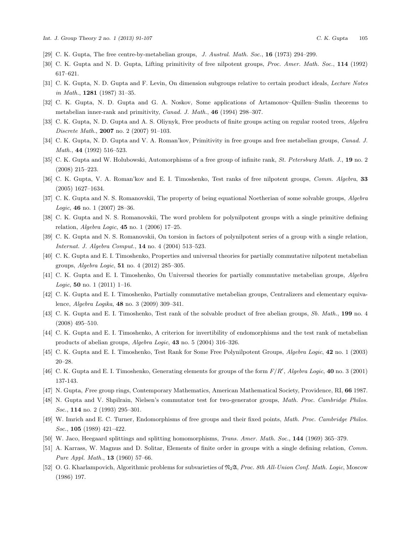- <span id="page-14-12"></span>[29] C. K. Gupta, The free centre-by-metabelian groups, J. Austral. Math. Soc., 16 (1973) 294–299.
- [30] C. K. Gupta and N. D. Gupta, Lifting primitivity of free nilpotent groups, Proc. Amer. Math. Soc., 114 (1992) 617–621.
- <span id="page-14-8"></span>[31] C. K. Gupta, N. D. Gupta and F. Levin, On dimension subgroups relative to certain product ideals, *Lecture Notes* in Math., 1281 (1987) 31–35.
- [32] C. K. Gupta, N. D. Gupta and G. A. Noskov, Some applications of Artamonov–Quillen–Suslin theorems to metabelian inner-rank and primitivity, Canad. J. Math., 46 (1994) 298–307.
- <span id="page-14-14"></span>[33] C. K. Gupta, N. D. Gupta and A. S. Oliynyk, Free products of finite groups acting on regular rooted trees, Algebra Discrete Math., 2007 no. 2 (2007) 91–103.
- [34] C. K. Gupta, N. D. Gupta and V. A. Roman'kov, Primitivity in free groups and free metabelian groups, *Canad. J.* Math., 44 (1992) 516–523.
- <span id="page-14-13"></span>[35] C. K. Gupta and W. Holubowski, Automorphisms of a free group of infinite rank, St. Petersburg Math. J., 19 no. 2 (2008) 215–223.
- <span id="page-14-1"></span>[36] C. K. Gupta, V. A. Roman'kov and E. I. Timoshenko, Test ranks of free nilpotent groups, Comm. Algebra, 33 (2005) 1627–1634.
- <span id="page-14-11"></span>[37] C. K. Gupta and N. S. Romanovskii, The property of being equational Noetherian of some solvable groups, Algebra Logic, 46 no. 1 (2007) 28–36.
- <span id="page-14-10"></span>[38] C. K. Gupta and N. S. Romanovskii, The word problem for polynilpotent groups with a single primitive defining relation, *Algebra Logic*, **45** no. 1 (2006) 17-25.
- <span id="page-14-7"></span>[39] C. K. Gupta and N. S. Romanovskii, On torsion in factors of polynilpotent series of a group with a single relation, Internat. J. Algebra Comput., 14 no. 4 (2004) 513–523.
- <span id="page-14-15"></span>[40] C. K. Gupta and E. I. Timoshenko, Properties and universal theories for partially commutative nilpotent metabelian groups, Algebra Logic, 51 no. 4 (2012) 285–305.
- <span id="page-14-16"></span>[41] C. K. Gupta and E. I. Timoshenko, On Universal theories for partially commutative metabelian groups, Algebra Logic, 50 no. 1 (2011) 1-16.
- [42] C. K. Gupta and E. I. Timoshenko, Partially commutative metabelian groups, Centralizers and elementary equivalence, Algebra Logika, 48 no. 3 (2009) 309–341.
- <span id="page-14-5"></span>[43] C. K. Gupta and E. I. Timoshenko, Test rank of the solvable product of free abelian groups, Sb. Math., 199 no. 4 (2008) 495–510.
- <span id="page-14-2"></span>[44] C. K. Gupta and E. I. Timoshenko, A criterion for invertibility of endomorphisms and the test rank of metabelian products of abelian groups, Algebra Logic, 43 no. 5 (2004) 316–326.
- <span id="page-14-3"></span>[45] C. K. Gupta and E. I. Timoshenko, Test Rank for Some Free Polynilpotent Groups, Algebra Logic, 42 no. 1 (2003) 20–28.
- <span id="page-14-4"></span>[46] C. K. Gupta and E. I. Timoshenko, Generating elements for groups of the form  $F/R'$ , Algebra Logic, 40 no. 3 (2001) 137-143.
- [47] N. Gupta, Free group rings, Contemporary Mathematics, American Mathematical Society, Providence, RI, 66 1987.
- <span id="page-14-0"></span>[48] N. Gupta and V. Shpilrain, Nielsen's commutator test for two-generator groups, Math. Proc. Cambridge Philos. Soc., **114** no. 2 (1993) 295-301.
- [49] W. Imrich and E. C. Turner, Endomorphisms of free groups and their fixed points, Math. Proc. Cambridge Philos. Soc., **105** (1989) 421-422.
- [50] W. Jaco, Heegaard splittings and splitting homomorphisms, Trans. Amer. Math. Soc., 144 (1969) 365–379.
- <span id="page-14-6"></span>[51] A. Karrass, W. Magnus and D. Solitar, Elements of finite order in groups with a single defining relation, Comm. Pure Appl. Math., 13 (1960) 57–66.
- <span id="page-14-9"></span>[52] O. G. Kharlampovich, Algorithmic problems for subvarieties of  $\mathfrak{N}_2\mathfrak{A}$ , Proc. 8th All-Union Conf. Math. Logic, Moscow (1986) 197.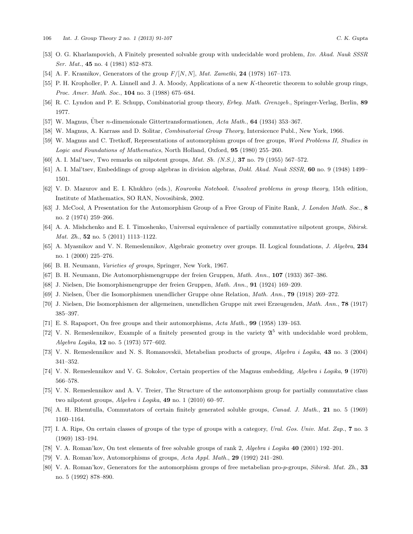- <span id="page-15-10"></span>[53] O. G. Kharlampovich, A Finitely presented solvable group with undecidable word problem, Izv. Akad. Nauk SSSR Ser. Mat., **45** no. 4 (1981) 852-873.
- [54] A. F. Krasnikov, Generators of the group  $F/[N, N]$ , Mat. Zametki, 24 (1978) 167–173.
- [55] P. H. Kropholler, P. A. Linnell and J. A. Moody, Applications of a new K-theoretic theorem to soluble group rings, Proc. Amer. Math. Soc., **104** no. 3 (1988) 675-684.
- <span id="page-15-3"></span>[56] R. C. Lyndon and P. E. Schupp, Combinatorial group theory, *Erbeg. Math. Grenzgeb.*, Springer-Verlag, Berlin, 89 1977.
- <span id="page-15-2"></span>[57] W. Magnus, Über n-dimensionale Gittertransformationen, Acta Math., 64 (1934) 353–367.
- [58] W. Magnus, A. Karrass and D. Solitar, Combinatorial Group Theory, Intersicence Publ., New York, 1966.
- [59] W. Magnus and C. Tretkoff, Representations of automorphism groups of free groups, Word Problems II, Studies in Logic and Foundations of Mathematics, North Holland, Oxford, 95 (1980) 255–260.
- <span id="page-15-5"></span>[60] A. I. Mal'tsev, Two remarks on nilpotent groups, Mat. Sb. (N.S.), 37 no. 79 (1955) 567–572.
- [61] A. I. Mal'tsev, Embeddings of group algebras in division algebras, Dokl. Akad. Nauk SSSR, 60 no. 9 (1948) 1499– 1501.
- <span id="page-15-8"></span>[62] V. D. Mazurov and E. I. Khukhro (eds.), Kourovka Notebook. Unsolved problems in group theory, 15th edition, Institute of Mathematics, SO RAN, Novosibirsk, 2002.
- [63] J. McCool, A Presentation for the Automorphism Group of a Free Group of Finite Rank, J. London Math. Soc., 8 no. 2 (1974) 259–266.
- [64] A. A. Mishchenko and E. I. Timoshenko, Universal equivalence of partially commutative nilpotent groups, Sibirsk. Mat. Zh., **52** no. 5 (2011) 1113-1122.
- [65] A. Myasnikov and V. N. Remeslennikov, Algebraic geometry over groups. II. Logical foundations, J. Algebra, 234 no. 1 (2000) 225–276.
- <span id="page-15-7"></span>[66] B. H. Neumann, Varieties of groups, Springer, New York, 1967.
- <span id="page-15-1"></span>[67] B. H. Neumann, Die Automorphismengruppe der freien Gruppen, Math. Ann., 107 (1933) 367–386.
- <span id="page-15-0"></span>[68] J. Nielsen, Die Isomorphismengruppe der freien Gruppen, Math. Ann., 91 (1924) 169–209.
- <span id="page-15-4"></span>[69] J. Nielsen, Über die Isomorphismen unendlicher Gruppe ohne Relation, *Math. Ann.*, **79** (1918) 269–272.
- [70] J. Nielsen, Die Isomorphismen der allgemeinen, unendlichen Gruppe mit zwei Erzeugenden, Math. Ann., 78 (1917) 385–397.
- [71] E. S. Rapaport, On free groups and their automorphisms, Acta Math., 99 (1958) 139–163.
- <span id="page-15-9"></span>[72] V. N. Remeslennikov, Example of a finitely presented group in the variety  $\mathfrak{A}^5$  with undecidable word problem, Algebra Logika, 12 no. 5 (1973) 577–602.
- [73] V. N. Remeslennikov and N. S. Romanovskii, Metabelian products of groups, Algebra i Logika, 43 no. 3 (2004) 341–352.
- [74] V. N. Remeslennikov and V. G. Sokolov, Certain properties of the Magnus embedding, Algebra i Logika, 9 (1970) 566–578.
- [75] V. N. Remeslennikov and A. V. Treier, The Structure of the automorphism group for partially commutative class two nilpotent groups, Algebra i Logika, 49 no. 1 (2010) 60–97.
- [76] A. H. Rhemtulla, Commutators of certain finitely generated soluble groups, Canad. J. Math., 21 no. 5 (1969) 1160–1164.
- <span id="page-15-6"></span>[77] I. A. Rips, On certain classes of groups of the type of groups with a category, Ural. Gos. Univ. Mat. Zap., 7 no. 3 (1969) 183–194.
- [78] V. A. Roman'kov, On test elements of free solvable groups of rank 2, Algebra i Logika 40 (2001) 192–201.
- [79] V. A. Roman'kov, Automorphisms of groups, Acta Appl. Math., 29 (1992) 241–280.
- [80] V. A. Roman'kov, Generators for the automorphism groups of free metabelian pro-p-groups, Sibirsk. Mat. Zh., 33 no. 5 (1992) 878–890.